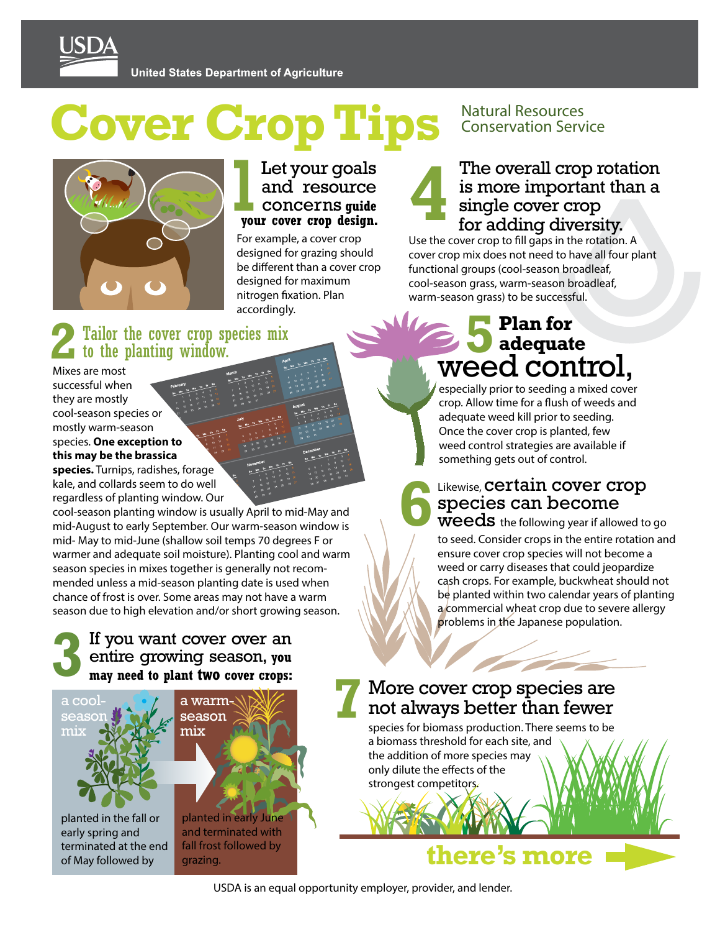**United States Department of Agriculture** 

# **Cover Crop Tips**



Let your goals and resource concerns **guide 1** Let your goals<br>and resource<br>concerns guide<br>your cover crop design.

For example, a cover crop designed for grazing should be different than a cover crop designed for maximum nitrogen fixation. Plan accordingly.

### Natural Resources Conservation Service

The overall crop rotation is more important than a single cover crop for adding diversity. **4**

Use the cover crop to fill gaps in the rotation. A cover crop mix does not need to have all four plant functional groups (cool-season broadleaf, cool-season grass, warm-season broadleaf, warm-season grass) to be successful.

### **Plan for adequate** weed control, **5**

especially prior to seeding a mixed cover crop. Allow time for a flush of weeds and adequate weed kill prior to seeding. Once the cover crop is planted, few weed control strategies are available if something gets out of control.

### Likewise, certain cover crop species can become **6**

 ${\bf weeds}$  the following year if allowed to go to seed. Consider crops in the entire rotation and ensure cover crop species will not become a weed or carry diseases that could jeopardize cash crops. For example, buckwheat should not be planted within two calendar years of planting a commercial wheat crop due to severe allergy problems in the Japanese population.

### More cover crop species are not always better than fewer **7**

species for biomass production. There seems to be a biomass threshold for each site, and the addition of more species may only dilute the effects of the strongest competitors.

**there's more**

### Tailor the cover crop species mix **2** Tailor the cover crop sp<br>to the planting window.

Mixes are most successful when they are mostly cool-season species or mostly warm-season species. **One exception to this may be the brassica species.** Turnips, radishes, forage kale, and collards seem to do well regardless of planting window. Our

cool-season planting window is usually April to mid-May and mid-August to early September. Our warm-season window is mid- May to mid-June (shallow soil temps 70 degrees F or warmer and adequate soil moisture). Planting cool and warm season species in mixes together is generally not recommended unless a mid-season planting date is used when chance of frost is over. Some areas may not have a warm season due to high elevation and/or short growing season.

#### If you want cover over an entire growing season, **you may need to plant two cover crops: 3**

a warmseason mix



planted in the fall or early spring and terminated at the end of May followed by

planted in early June and terminated with fall frost followed by grazing.

USDA is an equal opportunity employer, provider, and lender.